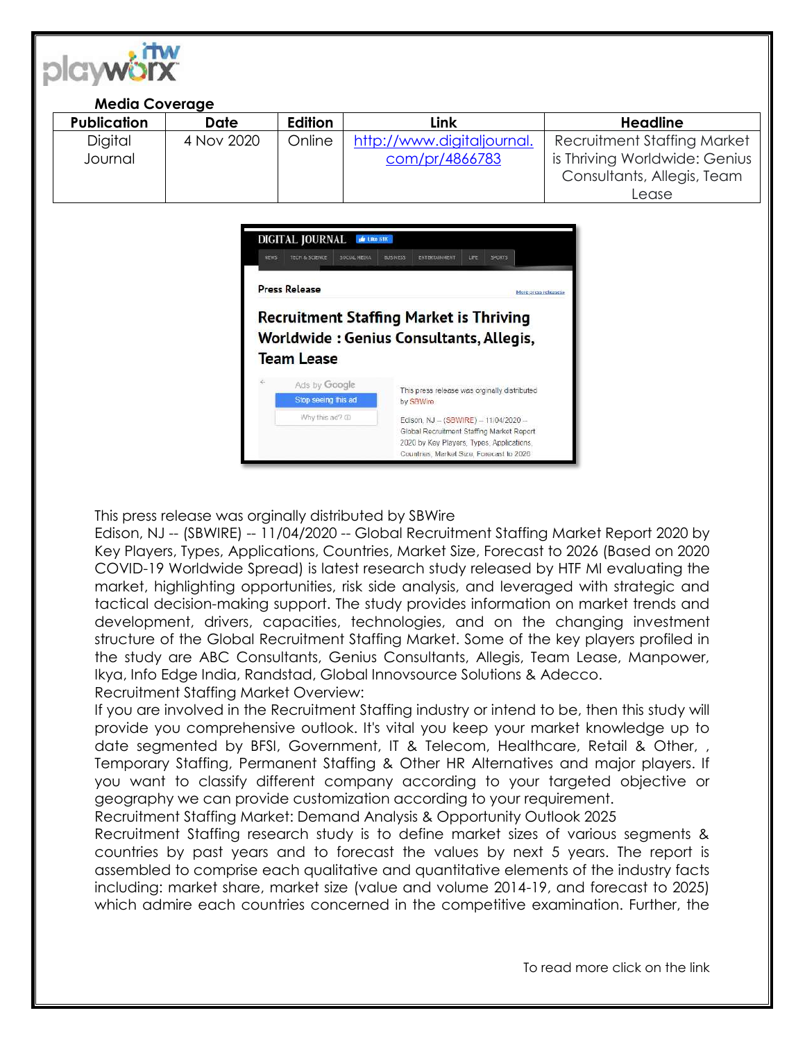

## **Media Coverage**

| <b>Publication</b> | <b>Date</b> | Edition | Link                       | Headline                      |
|--------------------|-------------|---------|----------------------------|-------------------------------|
| <b>Digital</b>     | 4 Nov 2020  | Online  | http://www.digitaljournal. | Recruitment Staffing Market   |
| Journal            |             |         | com/pr/4866783             | is Thriving Worldwide: Genius |
|                    |             |         |                            | Consultants, Allegis, Team    |
|                    |             |         |                            | Lease                         |



This press release was orginally distributed by SBWire

Edison, NJ -- (SBWIRE) -- 11/04/2020 -- Global Recruitment Staffing Market Report 2020 by Key Players, Types, Applications, Countries, Market Size, Forecast to 2026 (Based on 2020 COVID-19 Worldwide Spread) is latest research study released by HTF MI evaluating the market, highlighting opportunities, risk side analysis, and leveraged with strategic and tactical decision-making support. The study provides information on market trends and development, drivers, capacities, technologies, and on the changing investment structure of the Global Recruitment Staffing Market. Some of the key players profiled in the study are ABC Consultants, Genius Consultants, Allegis, Team Lease, Manpower, Ikya, Info Edge India, Randstad, Global Innovsource Solutions & Adecco.

Recruitment Staffing Market Overview:

If you are involved in the Recruitment Staffing industry or intend to be, then this study will provide you comprehensive outlook. It's vital you keep your market knowledge up to date segmented by BFSI, Government, IT & Telecom, Healthcare, Retail & Other, , Temporary Staffing, Permanent Staffing & Other HR Alternatives and major players. If you want to classify different company according to your targeted objective or geography we can provide customization according to your requirement.

Recruitment Staffing Market: Demand Analysis & Opportunity Outlook 2025

Recruitment Staffing research study is to define market sizes of various segments & countries by past years and to forecast the values by next 5 years. The report is assembled to comprise each qualitative and quantitative elements of the industry facts including: market share, market size (value and volume 2014-19, and forecast to 2025) which admire each countries concerned in the competitive examination. Further, the

To read more click on the link